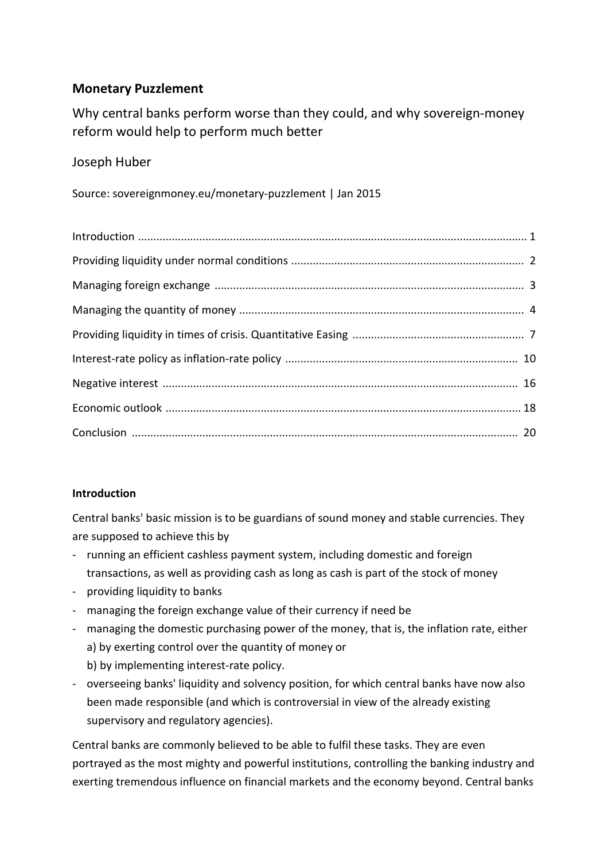# **Monetary Puzzlement**

Why central banks perform worse than they could, and why sovereign-money reform would help to perform much better

# Joseph Huber

Source: sovereignmoney.eu/monetary-puzzlement | Jan 2015

| $\label{lem:1} \mbox{Introduction} \,\, \ldots \,\, \ldots \,\, \ldots \,\, \ldots \,\, \ldots \,\, \ldots \,\, \ldots \,\, \ldots \,\, \ldots \,\, \ldots \,\, \ldots \,\, \ldots \,\, \ldots \,\, \ldots \,\, \ldots \,\, \ldots \,\, \ldots \,\, \ldots \,\, \ldots \,\, \ldots \,\, \ldots \,\, \ldots \,\, \ldots \,\, \ldots \,\, \ldots \,\, \ldots \,\, \ldots \,\, \ldots \,\, \ldots \,\, \ldots \,\, \ldots \,\, \ldots \,\, \ldots \,\, \ldots \,\,$ |  |
|------------------------------------------------------------------------------------------------------------------------------------------------------------------------------------------------------------------------------------------------------------------------------------------------------------------------------------------------------------------------------------------------------------------------------------------------------------------|--|
|                                                                                                                                                                                                                                                                                                                                                                                                                                                                  |  |
|                                                                                                                                                                                                                                                                                                                                                                                                                                                                  |  |
|                                                                                                                                                                                                                                                                                                                                                                                                                                                                  |  |
|                                                                                                                                                                                                                                                                                                                                                                                                                                                                  |  |
|                                                                                                                                                                                                                                                                                                                                                                                                                                                                  |  |
|                                                                                                                                                                                                                                                                                                                                                                                                                                                                  |  |
|                                                                                                                                                                                                                                                                                                                                                                                                                                                                  |  |
|                                                                                                                                                                                                                                                                                                                                                                                                                                                                  |  |

# **Introduction**

Central banks' basic mission is to be guardians of sound money and stable currencies. They are supposed to achieve this by

- running an efficient cashless payment system, including domestic and foreign transactions, as well as providing cash as long as cash is part of the stock of money
- providing liquidity to banks
- managing the foreign exchange value of their currency if need be
- managing the domestic purchasing power of the money, that is, the inflation rate, either
	- a) by exerting control over the quantity of money or
	- b) by implementing interest-rate policy.
- overseeing banks' liquidity and solvency position, for which central banks have now also been made responsible (and which is controversial in view of the already existing supervisory and regulatory agencies).

Central banks are commonly believed to be able to fulfil these tasks. They are even portrayed as the most mighty and powerful institutions, controlling the banking industry and exerting tremendous influence on financial markets and the economy beyond. Central banks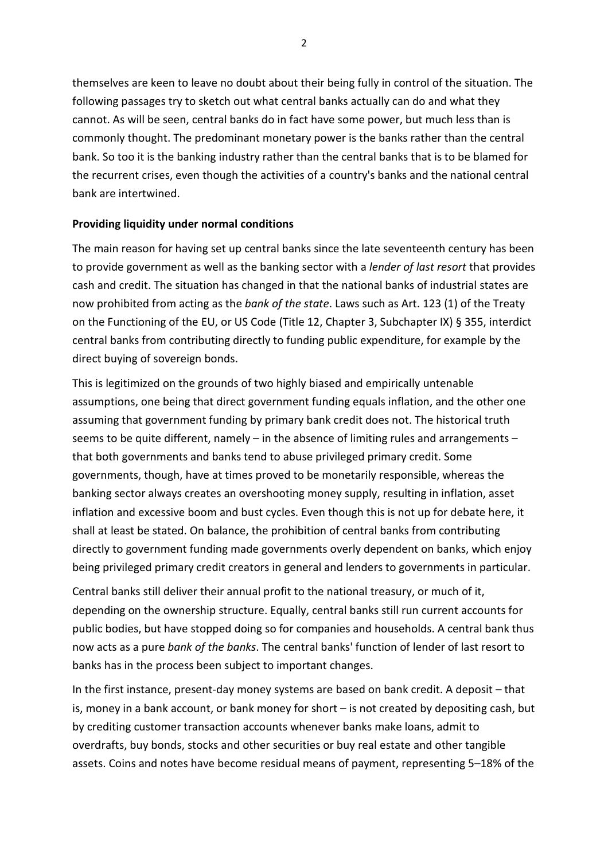themselves are keen to leave no doubt about their being fully in control of the situation. The following passages try to sketch out what central banks actually can do and what they cannot. As will be seen, central banks do in fact have some power, but much less than is commonly thought. The predominant monetary power is the banks rather than the central bank. So too it is the banking industry rather than the central banks that is to be blamed for the recurrent crises, even though the activities of a country's banks and the national central bank are intertwined.

# **Providing liquidity under normal conditions**

The main reason for having set up central banks since the late seventeenth century has been to provide government as well as the banking sector with a *lender of last resort* that provides cash and credit. The situation has changed in that the national banks of industrial states are now prohibited from acting as the *bank of the state*. Laws such as Art. 123 (1) of the Treaty on the Functioning of the EU, or US Code (Title 12, Chapter 3, Subchapter IX) § 355, interdict central banks from contributing directly to funding public expenditure, for example by the direct buying of sovereign bonds.

This is legitimized on the grounds of two highly biased and empirically untenable assumptions, one being that direct government funding equals inflation, and the other one assuming that government funding by primary bank credit does not. The historical truth seems to be quite different, namely – in the absence of limiting rules and arrangements – that both governments and banks tend to abuse privileged primary credit. Some governments, though, have at times proved to be monetarily responsible, whereas the banking sector always creates an overshooting money supply, resulting in inflation, asset inflation and excessive boom and bust cycles. Even though this is not up for debate here, it shall at least be stated. On balance, the prohibition of central banks from contributing directly to government funding made governments overly dependent on banks, which enjoy being privileged primary credit creators in general and lenders to governments in particular.

Central banks still deliver their annual profit to the national treasury, or much of it, depending on the ownership structure. Equally, central banks still run current accounts for public bodies, but have stopped doing so for companies and households. A central bank thus now acts as a pure *bank of the banks*. The central banks' function of lender of last resort to banks has in the process been subject to important changes.

In the first instance, present-day money systems are based on bank credit. A deposit – that is, money in a bank account, or bank money for short – is not created by depositing cash, but by crediting customer transaction accounts whenever banks make loans, admit to overdrafts, buy bonds, stocks and other securities or buy real estate and other tangible assets. Coins and notes have become residual means of payment, representing 5–18% of the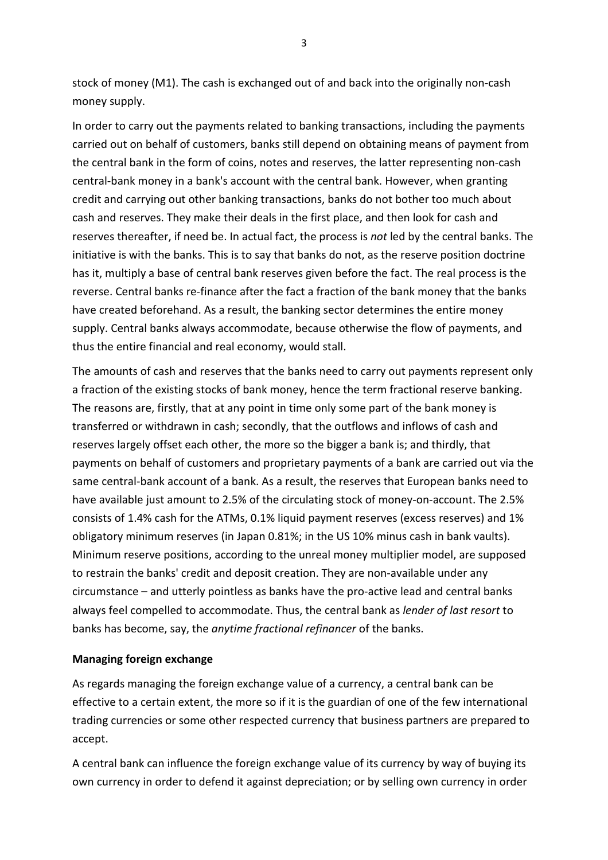stock of money (M1). The cash is exchanged out of and back into the originally non-cash money supply.

In order to carry out the payments related to banking transactions, including the payments carried out on behalf of customers, banks still depend on obtaining means of payment from the central bank in the form of coins, notes and reserves, the latter representing non-cash central-bank money in a bank's account with the central bank. However, when granting credit and carrying out other banking transactions, banks do not bother too much about cash and reserves. They make their deals in the first place, and then look for cash and reserves thereafter, if need be. In actual fact, the process is *not* led by the central banks. The initiative is with the banks. This is to say that banks do not, as the reserve position doctrine has it, multiply a base of central bank reserves given before the fact. The real process is the reverse. Central banks re-finance after the fact a fraction of the bank money that the banks have created beforehand. As a result, the banking sector determines the entire money supply. Central banks always accommodate, because otherwise the flow of payments, and thus the entire financial and real economy, would stall.

The amounts of cash and reserves that the banks need to carry out payments represent only a fraction of the existing stocks of bank money, hence the term fractional reserve banking. The reasons are, firstly, that at any point in time only some part of the bank money is transferred or withdrawn in cash; secondly, that the outflows and inflows of cash and reserves largely offset each other, the more so the bigger a bank is; and thirdly, that payments on behalf of customers and proprietary payments of a bank are carried out via the same central-bank account of a bank. As a result, the reserves that European banks need to have available just amount to 2.5% of the circulating stock of money-on-account. The 2.5% consists of 1.4% cash for the ATMs, 0.1% liquid payment reserves (excess reserves) and 1% obligatory minimum reserves (in Japan 0.81%; in the US 10% minus cash in bank vaults). Minimum reserve positions, according to the unreal money multiplier model, are supposed to restrain the banks' credit and deposit creation. They are non-available under any circumstance – and utterly pointless as banks have the pro-active lead and central banks always feel compelled to accommodate. Thus, the central bank as *lender of last resort* to banks has become, say, the *anytime fractional refinancer* of the banks.

# **Managing foreign exchange**

As regards managing the foreign exchange value of a currency, a central bank can be effective to a certain extent, the more so if it is the guardian of one of the few international trading currencies or some other respected currency that business partners are prepared to accept.

A central bank can influence the foreign exchange value of its currency by way of buying its own currency in order to defend it against depreciation; or by selling own currency in order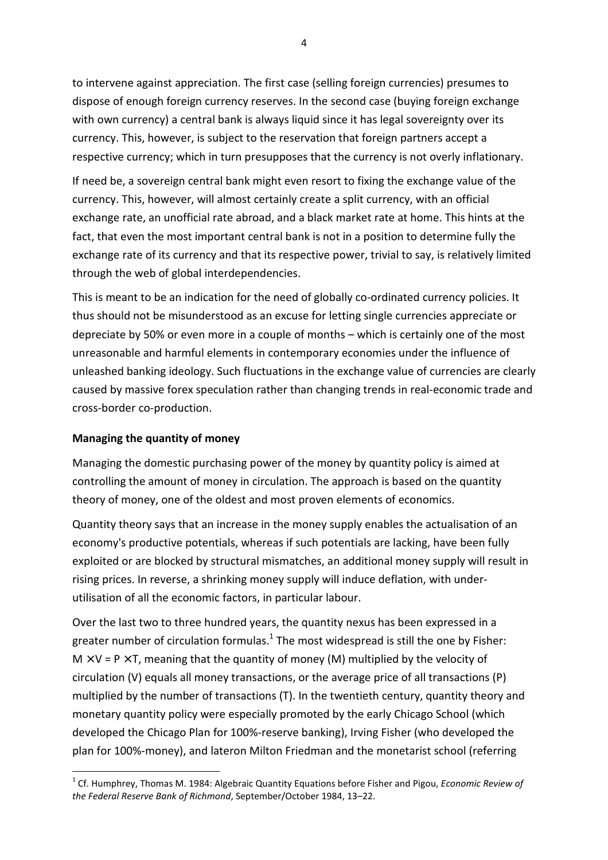to intervene against appreciation. The first case (selling foreign currencies) presumes to dispose of enough foreign currency reserves. In the second case (buying foreign exchange with own currency) a central bank is always liquid since it has legal sovereignty over its currency. This, however, is subject to the reservation that foreign partners accept a respective currency; which in turn presupposes that the currency is not overly inflationary.

If need be, a sovereign central bank might even resort to fixing the exchange value of the currency. This, however, will almost certainly create a split currency, with an official exchange rate, an unofficial rate abroad, and a black market rate at home. This hints at the fact, that even the most important central bank is not in a position to determine fully the exchange rate of its currency and that its respective power, trivial to say, is relatively limited through the web of global interdependencies.

This is meant to be an indication for the need of globally co-ordinated currency policies. It thus should not be misunderstood as an excuse for letting single currencies appreciate or depreciate by 50% or even more in a couple of months – which is certainly one of the most unreasonable and harmful elements in contemporary economies under the influence of unleashed banking ideology. Such fluctuations in the exchange value of currencies are clearly caused by massive forex speculation rather than changing trends in real-economic trade and cross-border co-production.

# **Managing the quantity of money**

Managing the domestic purchasing power of the money by quantity policy is aimed at controlling the amount of money in circulation. The approach is based on the quantity theory of money, one of the oldest and most proven elements of economics.

Quantity theory says that an increase in the money supply enables the actualisation of an economy's productive potentials, whereas if such potentials are lacking, have been fully exploited or are blocked by structural mismatches, an additional money supply will result in rising prices. In reverse, a shrinking money supply will induce deflation, with underutilisation of all the economic factors, in particular labour.

Over the last two to three hundred years, the quantity nexus has been expressed in a greater number of circulation formulas.<sup>1</sup> The most widespread is still the one by Fisher:  $M \times V = P \times T$ , meaning that the quantity of money (M) multiplied by the velocity of circulation (V) equals all money transactions, or the average price of all transactions (P) multiplied by the number of transactions (T). In the twentieth century, quantity theory and monetary quantity policy were especially promoted by the early Chicago School (which developed the Chicago Plan for 100%-reserve banking), Irving Fisher (who developed the plan for 100%-money), and lateron Milton Friedman and the monetarist school (referring

<sup>1</sup> Cf. Humphrey, Thomas M. 1984: Algebraic Quantity Equations before Fisher and Pigou, *Economic Review of the Federal Reserve Bank of Richmond*, September/October 1984, 13–22.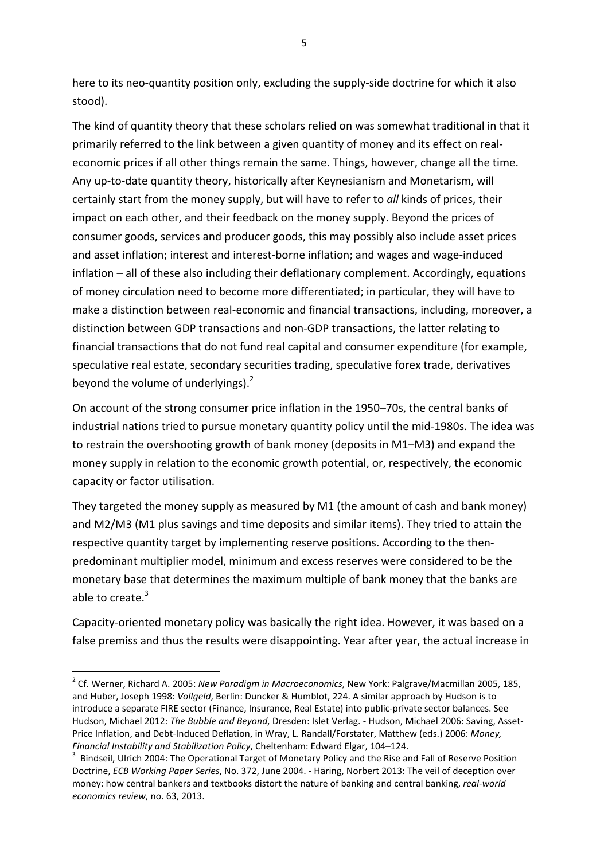here to its neo-quantity position only, excluding the supply-side doctrine for which it also stood).

The kind of quantity theory that these scholars relied on was somewhat traditional in that it primarily referred to the link between a given quantity of money and its effect on realeconomic prices if all other things remain the same. Things, however, change all the time. Any up-to-date quantity theory, historically after Keynesianism and Monetarism, will certainly start from the money supply, but will have to refer to *all* kinds of prices, their impact on each other, and their feedback on the money supply. Beyond the prices of consumer goods, services and producer goods, this may possibly also include asset prices and asset inflation; interest and interest-borne inflation; and wages and wage-induced inflation – all of these also including their deflationary complement. Accordingly, equations of money circulation need to become more differentiated; in particular, they will have to make a distinction between real-economic and financial transactions, including, moreover, a distinction between GDP transactions and non-GDP transactions, the latter relating to financial transactions that do not fund real capital and consumer expenditure (for example, speculative real estate, secondary securities trading, speculative forex trade, derivatives beyond the volume of underlyings).<sup>2</sup>

On account of the strong consumer price inflation in the 1950–70s, the central banks of industrial nations tried to pursue monetary quantity policy until the mid-1980s. The idea was to restrain the overshooting growth of bank money (deposits in M1–M3) and expand the money supply in relation to the economic growth potential, or, respectively, the economic capacity or factor utilisation.

They targeted the money supply as measured by M1 (the amount of cash and bank money) and M2/M3 (M1 plus savings and time deposits and similar items). They tried to attain the respective quantity target by implementing reserve positions. According to the thenpredominant multiplier model, minimum and excess reserves were considered to be the monetary base that determines the maximum multiple of bank money that the banks are able to create. $3$ 

Capacity-oriented monetary policy was basically the right idea. However, it was based on a false premiss and thus the results were disappointing. Year after year, the actual increase in

 $\overline{\phantom{a}}$ 

<sup>2</sup> Cf. Werner, Richard A. 2005: *New Paradigm in Macroeconomics*, New York: Palgrave/Macmillan 2005, 185, and Huber, Joseph 1998: *Vollgeld*, Berlin: Duncker & Humblot, 224. A similar approach by Hudson is to introduce a separate FIRE sector (Finance, Insurance, Real Estate) into public-private sector balances. See Hudson, Michael 2012: *The Bubble and Beyond*, Dresden: Islet Verlag. - Hudson, Michael 2006: Saving, Asset-Price Inflation, and Debt-Induced Deflation, in Wray, L. Randall/Forstater, Matthew (eds.) 2006: *Money, Financial Instability and Stabilization Policy*, Cheltenham: Edward Elgar, 104–124.

<sup>3</sup> Bindseil, Ulrich 2004: The Operational Target of Monetary Policy and the Rise and Fall of Reserve Position Doctrine, *ECB Working Paper Series*, No. 372, June 2004. - Häring, Norbert 2013: The veil of deception over money: how central bankers and textbooks distort the nature of banking and central banking, *real-world economics review*, no. 63, 2013.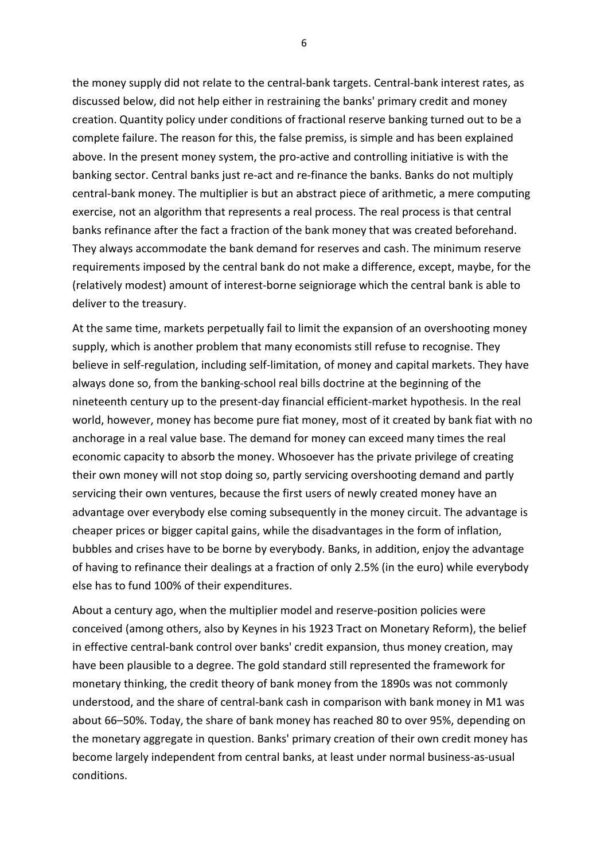the money supply did not relate to the central-bank targets. Central-bank interest rates, as discussed below, did not help either in restraining the banks' primary credit and money creation. Quantity policy under conditions of fractional reserve banking turned out to be a complete failure. The reason for this, the false premiss, is simple and has been explained above. In the present money system, the pro-active and controlling initiative is with the banking sector. Central banks just re-act and re-finance the banks. Banks do not multiply central-bank money. The multiplier is but an abstract piece of arithmetic, a mere computing exercise, not an algorithm that represents a real process. The real process is that central banks refinance after the fact a fraction of the bank money that was created beforehand. They always accommodate the bank demand for reserves and cash. The minimum reserve requirements imposed by the central bank do not make a difference, except, maybe, for the (relatively modest) amount of interest-borne seigniorage which the central bank is able to deliver to the treasury.

At the same time, markets perpetually fail to limit the expansion of an overshooting money supply, which is another problem that many economists still refuse to recognise. They believe in self-regulation, including self-limitation, of money and capital markets. They have always done so, from the banking-school real bills doctrine at the beginning of the nineteenth century up to the present-day financial efficient-market hypothesis. In the real world, however, money has become pure fiat money, most of it created by bank fiat with no anchorage in a real value base. The demand for money can exceed many times the real economic capacity to absorb the money. Whosoever has the private privilege of creating their own money will not stop doing so, partly servicing overshooting demand and partly servicing their own ventures, because the first users of newly created money have an advantage over everybody else coming subsequently in the money circuit. The advantage is cheaper prices or bigger capital gains, while the disadvantages in the form of inflation, bubbles and crises have to be borne by everybody. Banks, in addition, enjoy the advantage of having to refinance their dealings at a fraction of only 2.5% (in the euro) while everybody else has to fund 100% of their expenditures.

About a century ago, when the multiplier model and reserve-position policies were conceived (among others, also by Keynes in his 1923 Tract on Monetary Reform), the belief in effective central-bank control over banks' credit expansion, thus money creation, may have been plausible to a degree. The gold standard still represented the framework for monetary thinking, the credit theory of bank money from the 1890s was not commonly understood, and the share of central-bank cash in comparison with bank money in M1 was about 66–50%. Today, the share of bank money has reached 80 to over 95%, depending on the monetary aggregate in question. Banks' primary creation of their own credit money has become largely independent from central banks, at least under normal business-as-usual conditions.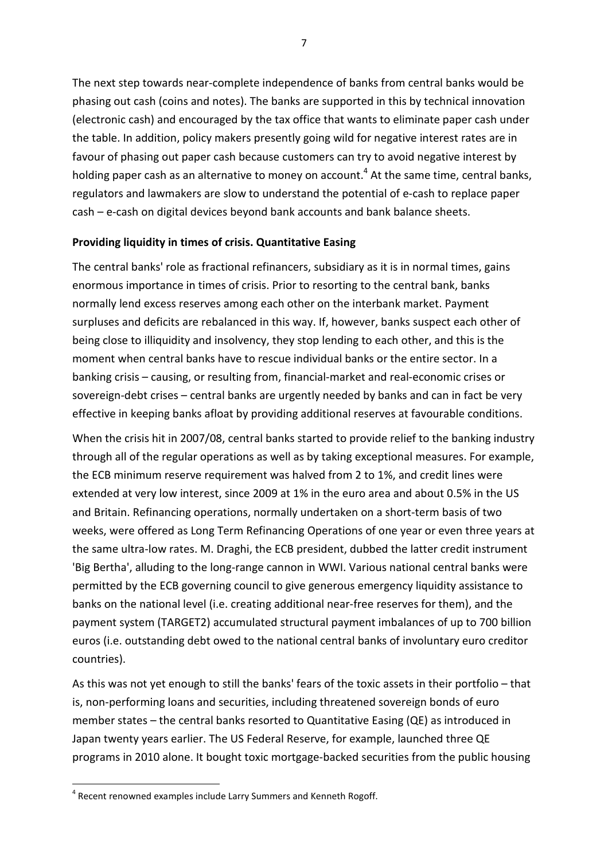The next step towards near-complete independence of banks from central banks would be phasing out cash (coins and notes). The banks are supported in this by technical innovation (electronic cash) and encouraged by the tax office that wants to eliminate paper cash under the table. In addition, policy makers presently going wild for negative interest rates are in favour of phasing out paper cash because customers can try to avoid negative interest by holding paper cash as an alternative to money on account.<sup>4</sup> At the same time, central banks, regulators and lawmakers are slow to understand the potential of e-cash to replace paper cash – e-cash on digital devices beyond bank accounts and bank balance sheets.

#### **Providing liquidity in times of crisis. Quantitative Easing**

The central banks' role as fractional refinancers, subsidiary as it is in normal times, gains enormous importance in times of crisis. Prior to resorting to the central bank, banks normally lend excess reserves among each other on the interbank market. Payment surpluses and deficits are rebalanced in this way. If, however, banks suspect each other of being close to illiquidity and insolvency, they stop lending to each other, and this is the moment when central banks have to rescue individual banks or the entire sector. In a banking crisis – causing, or resulting from, financial-market and real-economic crises or sovereign-debt crises – central banks are urgently needed by banks and can in fact be very effective in keeping banks afloat by providing additional reserves at favourable conditions.

When the crisis hit in 2007/08, central banks started to provide relief to the banking industry through all of the regular operations as well as by taking exceptional measures. For example, the ECB minimum reserve requirement was halved from 2 to 1%, and credit lines were extended at very low interest, since 2009 at 1% in the euro area and about 0.5% in the US and Britain. Refinancing operations, normally undertaken on a short-term basis of two weeks, were offered as Long Term Refinancing Operations of one year or even three years at the same ultra-low rates. M. Draghi, the ECB president, dubbed the latter credit instrument 'Big Bertha', alluding to the long-range cannon in WWI. Various national central banks were permitted by the ECB governing council to give generous emergency liquidity assistance to banks on the national level (i.e. creating additional near-free reserves for them), and the payment system (TARGET2) accumulated structural payment imbalances of up to 700 billion euros (i.e. outstanding debt owed to the national central banks of involuntary euro creditor countries).

As this was not yet enough to still the banks' fears of the toxic assets in their portfolio – that is, non-performing loans and securities, including threatened sovereign bonds of euro member states – the central banks resorted to Quantitative Easing (QE) as introduced in Japan twenty years earlier. The US Federal Reserve, for example, launched three QE programs in 2010 alone. It bought toxic mortgage-backed securities from the public housing

l

<sup>&</sup>lt;sup>4</sup> Recent renowned examples include Larry Summers and Kenneth Rogoff.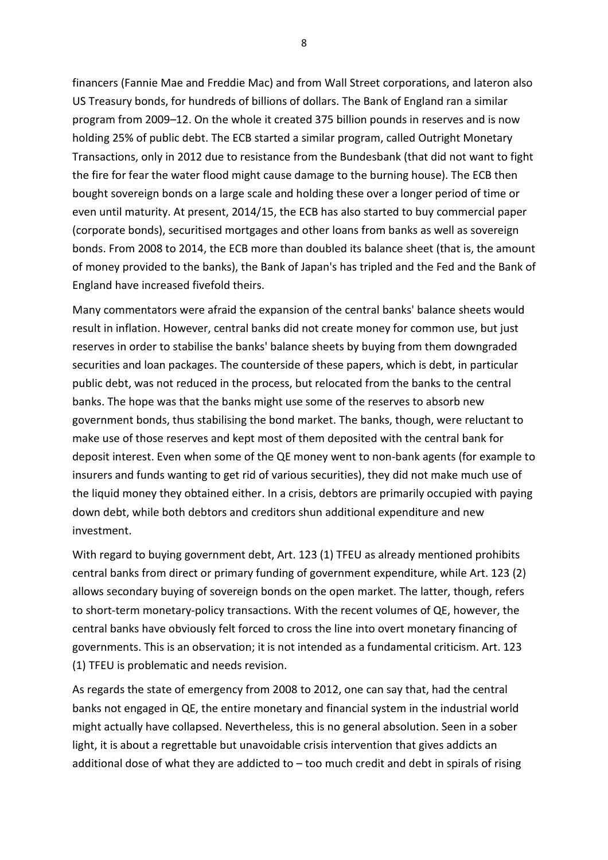financers (Fannie Mae and Freddie Mac) and from Wall Street corporations, and lateron also US Treasury bonds, for hundreds of billions of dollars. The Bank of England ran a similar program from 2009–12. On the whole it created 375 billion pounds in reserves and is now holding 25% of public debt. The ECB started a similar program, called Outright Monetary Transactions, only in 2012 due to resistance from the Bundesbank (that did not want to fight the fire for fear the water flood might cause damage to the burning house). The ECB then bought sovereign bonds on a large scale and holding these over a longer period of time or even until maturity. At present, 2014/15, the ECB has also started to buy commercial paper (corporate bonds), securitised mortgages and other loans from banks as well as sovereign bonds. From 2008 to 2014, the ECB more than doubled its balance sheet (that is, the amount of money provided to the banks), the Bank of Japan's has tripled and the Fed and the Bank of England have increased fivefold theirs.

Many commentators were afraid the expansion of the central banks' balance sheets would result in inflation. However, central banks did not create money for common use, but just reserves in order to stabilise the banks' balance sheets by buying from them downgraded securities and loan packages. The counterside of these papers, which is debt, in particular public debt, was not reduced in the process, but relocated from the banks to the central banks. The hope was that the banks might use some of the reserves to absorb new government bonds, thus stabilising the bond market. The banks, though, were reluctant to make use of those reserves and kept most of them deposited with the central bank for deposit interest. Even when some of the QE money went to non-bank agents (for example to insurers and funds wanting to get rid of various securities), they did not make much use of the liquid money they obtained either. In a crisis, debtors are primarily occupied with paying down debt, while both debtors and creditors shun additional expenditure and new investment.

With regard to buying government debt, Art. 123 (1) TFEU as already mentioned prohibits central banks from direct or primary funding of government expenditure, while Art. 123 (2) allows secondary buying of sovereign bonds on the open market. The latter, though, refers to short-term monetary-policy transactions. With the recent volumes of QE, however, the central banks have obviously felt forced to cross the line into overt monetary financing of governments. This is an observation; it is not intended as a fundamental criticism. Art. 123 (1) TFEU is problematic and needs revision.

As regards the state of emergency from 2008 to 2012, one can say that, had the central banks not engaged in QE, the entire monetary and financial system in the industrial world might actually have collapsed. Nevertheless, this is no general absolution. Seen in a sober light, it is about a regrettable but unavoidable crisis intervention that gives addicts an additional dose of what they are addicted to  $-$  too much credit and debt in spirals of rising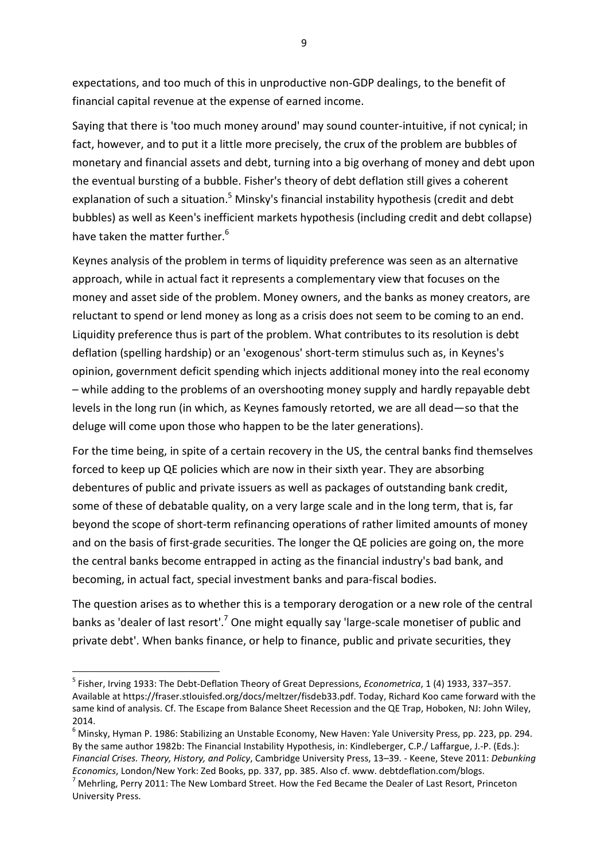expectations, and too much of this in unproductive non-GDP dealings, to the benefit of financial capital revenue at the expense of earned income.

Saying that there is 'too much money around' may sound counter-intuitive, if not cynical; in fact, however, and to put it a little more precisely, the crux of the problem are bubbles of monetary and financial assets and debt, turning into a big overhang of money and debt upon the eventual bursting of a bubble. Fisher's theory of debt deflation still gives a coherent explanation of such a situation.<sup>5</sup> Minsky's financial instability hypothesis (credit and debt bubbles) as well as Keen's inefficient markets hypothesis (including credit and debt collapse) have taken the matter further.<sup>6</sup>

Keynes analysis of the problem in terms of liquidity preference was seen as an alternative approach, while in actual fact it represents a complementary view that focuses on the money and asset side of the problem. Money owners, and the banks as money creators, are reluctant to spend or lend money as long as a crisis does not seem to be coming to an end. Liquidity preference thus is part of the problem. What contributes to its resolution is debt deflation (spelling hardship) or an 'exogenous' short-term stimulus such as, in Keynes's opinion, government deficit spending which injects additional money into the real economy – while adding to the problems of an overshooting money supply and hardly repayable debt levels in the long run (in which, as Keynes famously retorted, we are all dead―so that the deluge will come upon those who happen to be the later generations).

For the time being, in spite of a certain recovery in the US, the central banks find themselves forced to keep up QE policies which are now in their sixth year. They are absorbing debentures of public and private issuers as well as packages of outstanding bank credit, some of these of debatable quality, on a very large scale and in the long term, that is, far beyond the scope of short-term refinancing operations of rather limited amounts of money and on the basis of first-grade securities. The longer the QE policies are going on, the more the central banks become entrapped in acting as the financial industry's bad bank, and becoming, in actual fact, special investment banks and para-fiscal bodies.

The question arises as to whether this is a temporary derogation or a new role of the central banks as 'dealer of last resort'.<sup>7</sup> One might equally say 'large-scale monetiser of public and private debt'. When banks finance, or help to finance, public and private securities, they

 $\overline{\phantom{a}}$ 

<sup>5</sup> Fisher, Irving 1933: The Debt-Deflation Theory of Great Depressions, *Econometrica*, 1 (4) 1933, 337–357. Available at https://fraser.stlouisfed.org/docs/meltzer/fisdeb33.pdf. Today, Richard Koo came forward with the same kind of analysis. Cf. The Escape from Balance Sheet Recession and the QE Trap, Hoboken, NJ: John Wiley, 2014.

<sup>6</sup> Minsky, Hyman P. 1986: Stabilizing an Unstable Economy, New Haven: Yale University Press, pp. 223, pp. 294. By the same author 1982b: The Financial Instability Hypothesis, in: Kindleberger, C.P./ Laffargue, J.-P. (Eds.): *Financial Crises. Theory, History, and Policy*, Cambridge University Press, 13–39. - Keene, Steve 2011: *Debunking Economics*, London/New York: Zed Books, pp. 337, pp. 385. Also cf. www. debtdeflation.com/blogs.

 $^7$  Mehrling, Perry 2011: The New Lombard Street. How the Fed Became the Dealer of Last Resort, Princeton University Press.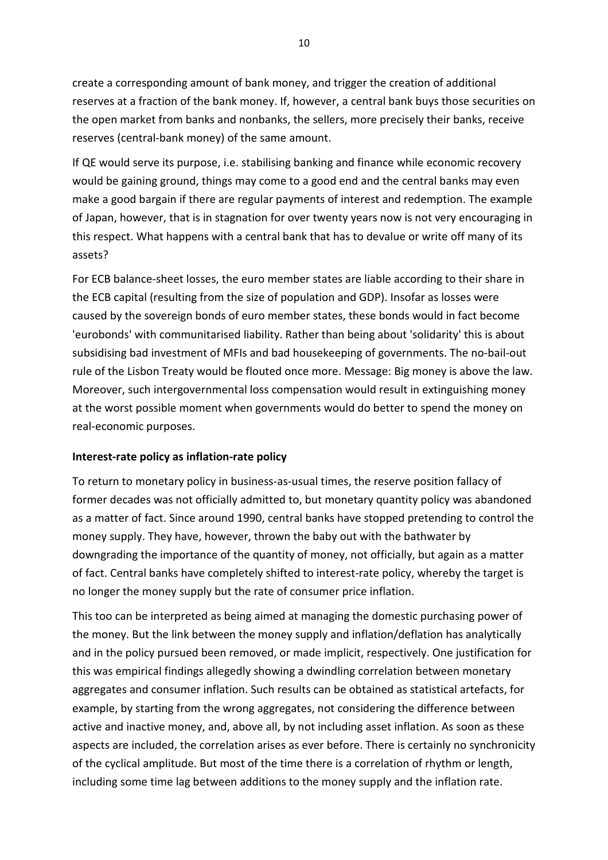create a corresponding amount of bank money, and trigger the creation of additional reserves at a fraction of the bank money. If, however, a central bank buys those securities on the open market from banks and nonbanks, the sellers, more precisely their banks, receive reserves (central-bank money) of the same amount.

If QE would serve its purpose, i.e. stabilising banking and finance while economic recovery would be gaining ground, things may come to a good end and the central banks may even make a good bargain if there are regular payments of interest and redemption. The example of Japan, however, that is in stagnation for over twenty years now is not very encouraging in this respect. What happens with a central bank that has to devalue or write off many of its assets?

For ECB balance-sheet losses, the euro member states are liable according to their share in the ECB capital (resulting from the size of population and GDP). Insofar as losses were caused by the sovereign bonds of euro member states, these bonds would in fact become 'eurobonds' with communitarised liability. Rather than being about 'solidarity' this is about subsidising bad investment of MFIs and bad housekeeping of governments. The no-bail-out rule of the Lisbon Treaty would be flouted once more. Message: Big money is above the law. Moreover, such intergovernmental loss compensation would result in extinguishing money at the worst possible moment when governments would do better to spend the money on real-economic purposes.

# **Interest-rate policy as inflation-rate policy**

To return to monetary policy in business-as-usual times, the reserve position fallacy of former decades was not officially admitted to, but monetary quantity policy was abandoned as a matter of fact. Since around 1990, central banks have stopped pretending to control the money supply. They have, however, thrown the baby out with the bathwater by downgrading the importance of the quantity of money, not officially, but again as a matter of fact. Central banks have completely shifted to interest-rate policy, whereby the target is no longer the money supply but the rate of consumer price inflation.

This too can be interpreted as being aimed at managing the domestic purchasing power of the money. But the link between the money supply and inflation/deflation has analytically and in the policy pursued been removed, or made implicit, respectively. One justification for this was empirical findings allegedly showing a dwindling correlation between monetary aggregates and consumer inflation. Such results can be obtained as statistical artefacts, for example, by starting from the wrong aggregates, not considering the difference between active and inactive money, and, above all, by not including asset inflation. As soon as these aspects are included, the correlation arises as ever before. There is certainly no synchronicity of the cyclical amplitude. But most of the time there is a correlation of rhythm or length, including some time lag between additions to the money supply and the inflation rate.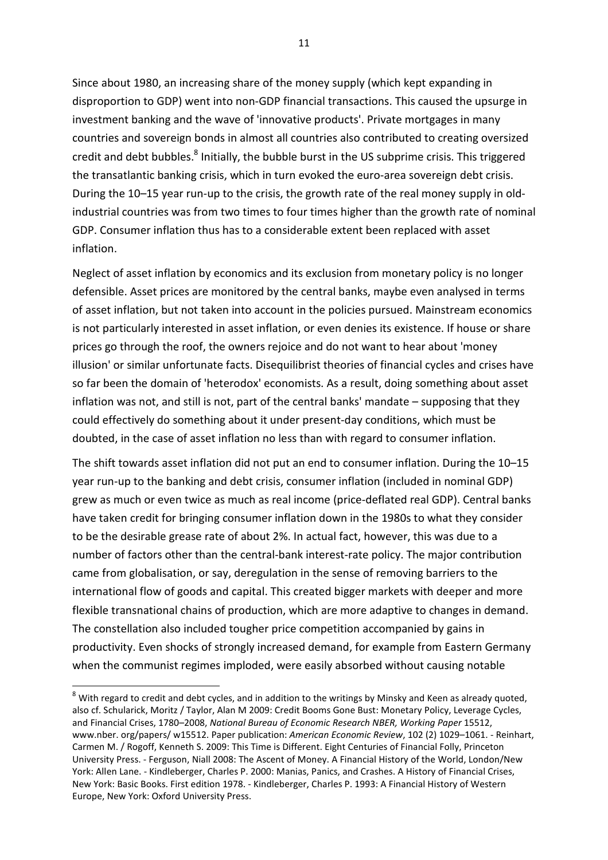Since about 1980, an increasing share of the money supply (which kept expanding in disproportion to GDP) went into non-GDP financial transactions. This caused the upsurge in investment banking and the wave of 'innovative products'. Private mortgages in many countries and sovereign bonds in almost all countries also contributed to creating oversized credit and debt bubbles.<sup>8</sup> Initially, the bubble burst in the US subprime crisis. This triggered the transatlantic banking crisis, which in turn evoked the euro-area sovereign debt crisis. During the 10–15 year run-up to the crisis, the growth rate of the real money supply in oldindustrial countries was from two times to four times higher than the growth rate of nominal GDP. Consumer inflation thus has to a considerable extent been replaced with asset inflation.

Neglect of asset inflation by economics and its exclusion from monetary policy is no longer defensible. Asset prices are monitored by the central banks, maybe even analysed in terms of asset inflation, but not taken into account in the policies pursued. Mainstream economics is not particularly interested in asset inflation, or even denies its existence. If house or share prices go through the roof, the owners rejoice and do not want to hear about 'money illusion' or similar unfortunate facts. Disequilibrist theories of financial cycles and crises have so far been the domain of 'heterodox' economists. As a result, doing something about asset inflation was not, and still is not, part of the central banks' mandate – supposing that they could effectively do something about it under present-day conditions, which must be doubted, in the case of asset inflation no less than with regard to consumer inflation.

The shift towards asset inflation did not put an end to consumer inflation. During the 10–15 year run-up to the banking and debt crisis, consumer inflation (included in nominal GDP) grew as much or even twice as much as real income (price-deflated real GDP). Central banks have taken credit for bringing consumer inflation down in the 1980s to what they consider to be the desirable grease rate of about 2%. In actual fact, however, this was due to a number of factors other than the central-bank interest-rate policy. The major contribution came from globalisation, or say, deregulation in the sense of removing barriers to the international flow of goods and capital. This created bigger markets with deeper and more flexible transnational chains of production, which are more adaptive to changes in demand. The constellation also included tougher price competition accompanied by gains in productivity. Even shocks of strongly increased demand, for example from Eastern Germany when the communist regimes imploded, were easily absorbed without causing notable

<sup>&</sup>lt;sup>8</sup> With regard to credit and debt cycles, and in addition to the writings by Minsky and Keen as already quoted, also cf. Schularick, Moritz / Taylor, Alan M 2009: Credit Booms Gone Bust: Monetary Policy, Leverage Cycles, and Financial Crises, 1780–2008, *National Bureau of Economic Research NBER, Working Paper* 15512, www.nber. org/papers/ w15512. Paper publication: *American Economic Review*, 102 (2) 1029–1061. - Reinhart, Carmen M. / Rogoff, Kenneth S. 2009: This Time is Different. Eight Centuries of Financial Folly, Princeton University Press. - Ferguson, Niall 2008: The Ascent of Money. A Financial History of the World, London/New York: Allen Lane. - Kindleberger, Charles P. 2000: Manias, Panics, and Crashes. A History of Financial Crises, New York: Basic Books. First edition 1978. - Kindleberger, Charles P. 1993: A Financial History of Western Europe, New York: Oxford University Press.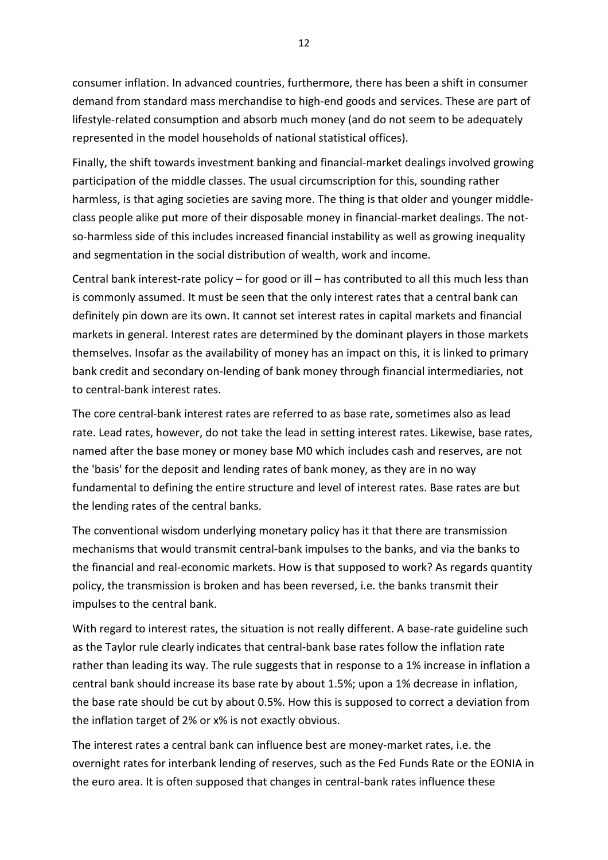consumer inflation. In advanced countries, furthermore, there has been a shift in consumer demand from standard mass merchandise to high-end goods and services. These are part of lifestyle-related consumption and absorb much money (and do not seem to be adequately represented in the model households of national statistical offices).

Finally, the shift towards investment banking and financial-market dealings involved growing participation of the middle classes. The usual circumscription for this, sounding rather harmless, is that aging societies are saving more. The thing is that older and younger middleclass people alike put more of their disposable money in financial-market dealings. The notso-harmless side of this includes increased financial instability as well as growing inequality and segmentation in the social distribution of wealth, work and income.

Central bank interest-rate policy – for good or ill – has contributed to all this much less than is commonly assumed. It must be seen that the only interest rates that a central bank can definitely pin down are its own. It cannot set interest rates in capital markets and financial markets in general. Interest rates are determined by the dominant players in those markets themselves. Insofar as the availability of money has an impact on this, it is linked to primary bank credit and secondary on-lending of bank money through financial intermediaries, not to central-bank interest rates.

The core central-bank interest rates are referred to as base rate, sometimes also as lead rate. Lead rates, however, do not take the lead in setting interest rates. Likewise, base rates, named after the base money or money base M0 which includes cash and reserves, are not the 'basis' for the deposit and lending rates of bank money, as they are in no way fundamental to defining the entire structure and level of interest rates. Base rates are but the lending rates of the central banks.

The conventional wisdom underlying monetary policy has it that there are transmission mechanisms that would transmit central-bank impulses to the banks, and via the banks to the financial and real-economic markets. How is that supposed to work? As regards quantity policy, the transmission is broken and has been reversed, i.e. the banks transmit their impulses to the central bank.

With regard to interest rates, the situation is not really different. A base-rate guideline such as the Taylor rule clearly indicates that central-bank base rates follow the inflation rate rather than leading its way. The rule suggests that in response to a 1% increase in inflation a central bank should increase its base rate by about 1.5%; upon a 1% decrease in inflation, the base rate should be cut by about 0.5%. How this is supposed to correct a deviation from the inflation target of 2% or x% is not exactly obvious.

The interest rates a central bank can influence best are money-market rates, i.e. the overnight rates for interbank lending of reserves, such as the Fed Funds Rate or the EONIA in the euro area. It is often supposed that changes in central-bank rates influence these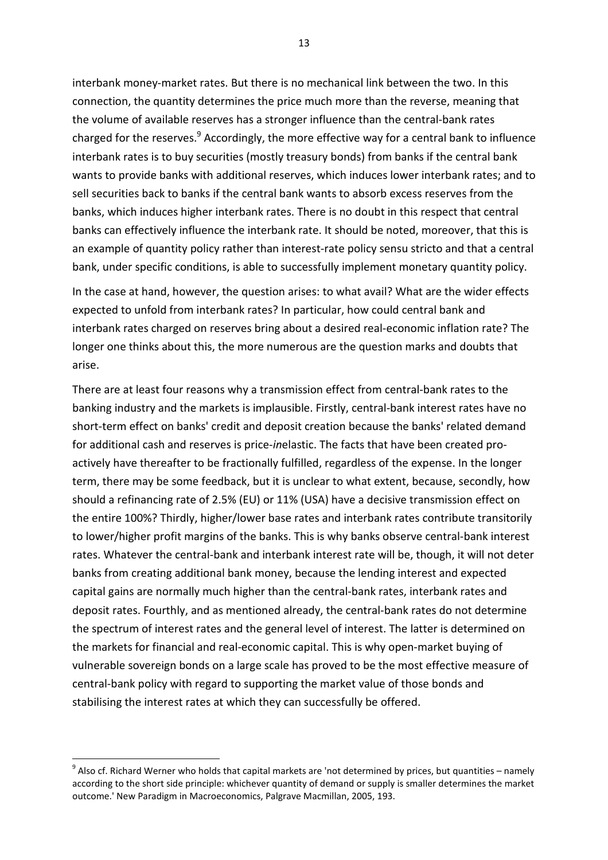interbank money-market rates. But there is no mechanical link between the two. In this connection, the quantity determines the price much more than the reverse, meaning that the volume of available reserves has a stronger influence than the central-bank rates charged for the reserves.<sup>9</sup> Accordingly, the more effective way for a central bank to influence interbank rates is to buy securities (mostly treasury bonds) from banks if the central bank wants to provide banks with additional reserves, which induces lower interbank rates; and to sell securities back to banks if the central bank wants to absorb excess reserves from the banks, which induces higher interbank rates. There is no doubt in this respect that central banks can effectively influence the interbank rate. It should be noted, moreover, that this is an example of quantity policy rather than interest-rate policy sensu stricto and that a central bank, under specific conditions, is able to successfully implement monetary quantity policy.

In the case at hand, however, the question arises: to what avail? What are the wider effects expected to unfold from interbank rates? In particular, how could central bank and interbank rates charged on reserves bring about a desired real-economic inflation rate? The longer one thinks about this, the more numerous are the question marks and doubts that arise.

There are at least four reasons why a transmission effect from central-bank rates to the banking industry and the markets is implausible. Firstly, central-bank interest rates have no short-term effect on banks' credit and deposit creation because the banks' related demand for additional cash and reserves is price-*in*elastic. The facts that have been created proactively have thereafter to be fractionally fulfilled, regardless of the expense. In the longer term, there may be some feedback, but it is unclear to what extent, because, secondly, how should a refinancing rate of 2.5% (EU) or 11% (USA) have a decisive transmission effect on the entire 100%? Thirdly, higher/lower base rates and interbank rates contribute transitorily to lower/higher profit margins of the banks. This is why banks observe central-bank interest rates. Whatever the central-bank and interbank interest rate will be, though, it will not deter banks from creating additional bank money, because the lending interest and expected capital gains are normally much higher than the central-bank rates, interbank rates and deposit rates. Fourthly, and as mentioned already, the central-bank rates do not determine the spectrum of interest rates and the general level of interest. The latter is determined on the markets for financial and real-economic capital. This is why open-market buying of vulnerable sovereign bonds on a large scale has proved to be the most effective measure of central-bank policy with regard to supporting the market value of those bonds and stabilising the interest rates at which they can successfully be offered.

 $\overline{\phantom{a}}$ 

 $9$  Also cf. Richard Werner who holds that capital markets are 'not determined by prices, but quantities – namely according to the short side principle: whichever quantity of demand or supply is smaller determines the market outcome.' New Paradigm in Macroeconomics, Palgrave Macmillan, 2005, 193.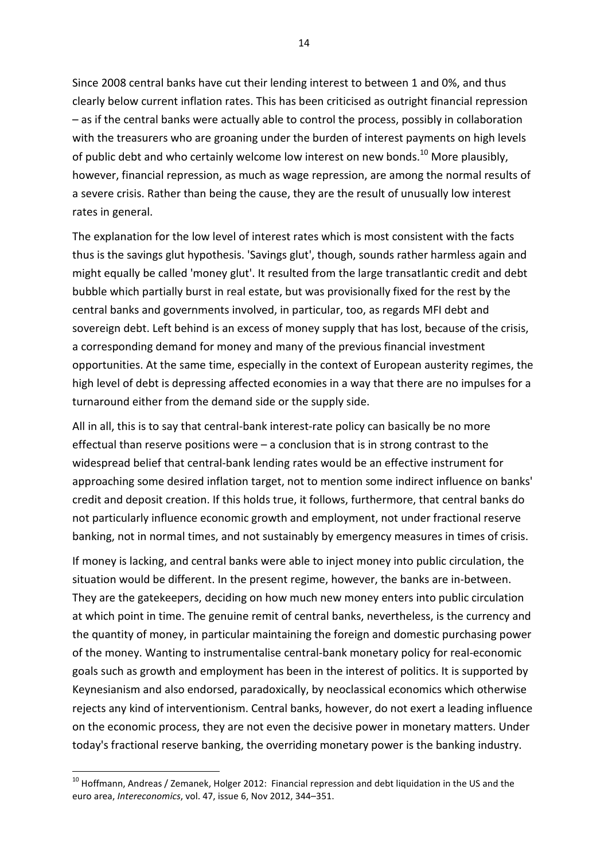Since 2008 central banks have cut their lending interest to between 1 and 0%, and thus clearly below current inflation rates. This has been criticised as outright financial repression – as if the central banks were actually able to control the process, possibly in collaboration with the treasurers who are groaning under the burden of interest payments on high levels of public debt and who certainly welcome low interest on new bonds.<sup>10</sup> More plausibly, however, financial repression, as much as wage repression, are among the normal results of a severe crisis. Rather than being the cause, they are the result of unusually low interest rates in general.

The explanation for the low level of interest rates which is most consistent with the facts thus is the savings glut hypothesis. 'Savings glut', though, sounds rather harmless again and might equally be called 'money glut'. It resulted from the large transatlantic credit and debt bubble which partially burst in real estate, but was provisionally fixed for the rest by the central banks and governments involved, in particular, too, as regards MFI debt and sovereign debt. Left behind is an excess of money supply that has lost, because of the crisis, a corresponding demand for money and many of the previous financial investment opportunities. At the same time, especially in the context of European austerity regimes, the high level of debt is depressing affected economies in a way that there are no impulses for a turnaround either from the demand side or the supply side.

All in all, this is to say that central-bank interest-rate policy can basically be no more effectual than reserve positions were – a conclusion that is in strong contrast to the widespread belief that central-bank lending rates would be an effective instrument for approaching some desired inflation target, not to mention some indirect influence on banks' credit and deposit creation. If this holds true, it follows, furthermore, that central banks do not particularly influence economic growth and employment, not under fractional reserve banking, not in normal times, and not sustainably by emergency measures in times of crisis.

If money is lacking, and central banks were able to inject money into public circulation, the situation would be different. In the present regime, however, the banks are in-between. They are the gatekeepers, deciding on how much new money enters into public circulation at which point in time. The genuine remit of central banks, nevertheless, is the currency and the quantity of money, in particular maintaining the foreign and domestic purchasing power of the money. Wanting to instrumentalise central-bank monetary policy for real-economic goals such as growth and employment has been in the interest of politics. It is supported by Keynesianism and also endorsed, paradoxically, by neoclassical economics which otherwise rejects any kind of interventionism. Central banks, however, do not exert a leading influence on the economic process, they are not even the decisive power in monetary matters. Under today's fractional reserve banking, the overriding monetary power is the banking industry.

 $10$  Hoffmann, Andreas / Zemanek, Holger 2012: Financial repression and debt liquidation in the US and the euro area, *Intereconomics*, vol. 47, issue 6, Nov 2012, 344–351.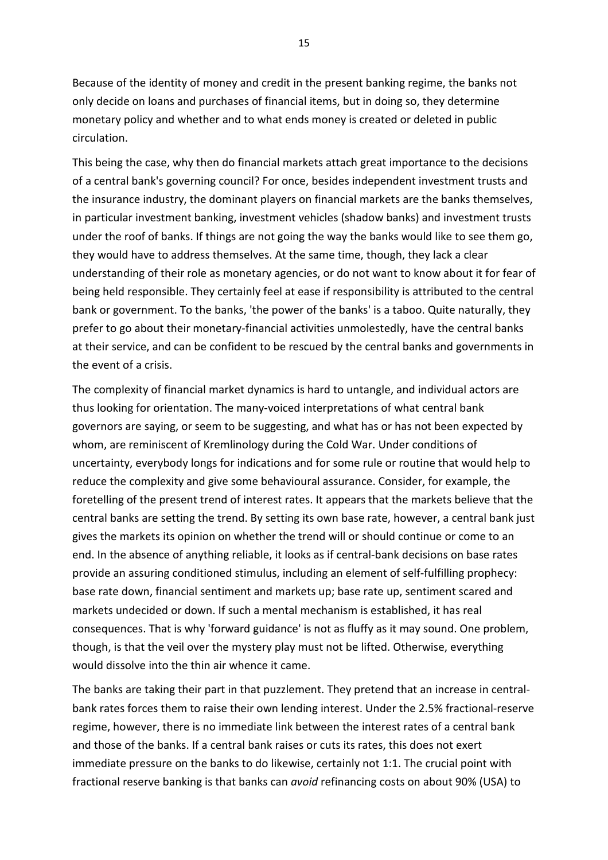Because of the identity of money and credit in the present banking regime, the banks not only decide on loans and purchases of financial items, but in doing so, they determine monetary policy and whether and to what ends money is created or deleted in public circulation.

This being the case, why then do financial markets attach great importance to the decisions of a central bank's governing council? For once, besides independent investment trusts and the insurance industry, the dominant players on financial markets are the banks themselves, in particular investment banking, investment vehicles (shadow banks) and investment trusts under the roof of banks. If things are not going the way the banks would like to see them go, they would have to address themselves. At the same time, though, they lack a clear understanding of their role as monetary agencies, or do not want to know about it for fear of being held responsible. They certainly feel at ease if responsibility is attributed to the central bank or government. To the banks, 'the power of the banks' is a taboo. Quite naturally, they prefer to go about their monetary-financial activities unmolestedly, have the central banks at their service, and can be confident to be rescued by the central banks and governments in the event of a crisis.

The complexity of financial market dynamics is hard to untangle, and individual actors are thus looking for orientation. The many-voiced interpretations of what central bank governors are saying, or seem to be suggesting, and what has or has not been expected by whom, are reminiscent of Kremlinology during the Cold War. Under conditions of uncertainty, everybody longs for indications and for some rule or routine that would help to reduce the complexity and give some behavioural assurance. Consider, for example, the foretelling of the present trend of interest rates. It appears that the markets believe that the central banks are setting the trend. By setting its own base rate, however, a central bank just gives the markets its opinion on whether the trend will or should continue or come to an end. In the absence of anything reliable, it looks as if central-bank decisions on base rates provide an assuring conditioned stimulus, including an element of self-fulfilling prophecy: base rate down, financial sentiment and markets up; base rate up, sentiment scared and markets undecided or down. If such a mental mechanism is established, it has real consequences. That is why 'forward guidance' is not as fluffy as it may sound. One problem, though, is that the veil over the mystery play must not be lifted. Otherwise, everything would dissolve into the thin air whence it came.

The banks are taking their part in that puzzlement. They pretend that an increase in centralbank rates forces them to raise their own lending interest. Under the 2.5% fractional-reserve regime, however, there is no immediate link between the interest rates of a central bank and those of the banks. If a central bank raises or cuts its rates, this does not exert immediate pressure on the banks to do likewise, certainly not 1:1. The crucial point with fractional reserve banking is that banks can *avoid* refinancing costs on about 90% (USA) to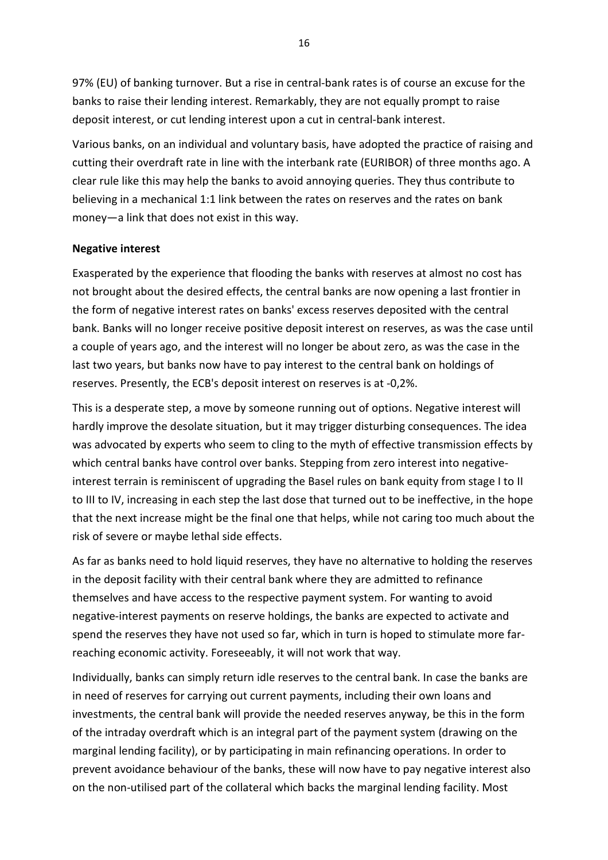97% (EU) of banking turnover. But a rise in central-bank rates is of course an excuse for the banks to raise their lending interest. Remarkably, they are not equally prompt to raise deposit interest, or cut lending interest upon a cut in central-bank interest.

Various banks, on an individual and voluntary basis, have adopted the practice of raising and cutting their overdraft rate in line with the interbank rate (EURIBOR) of three months ago. A clear rule like this may help the banks to avoid annoying queries. They thus contribute to believing in a mechanical 1:1 link between the rates on reserves and the rates on bank money―a link that does not exist in this way.

# **Negative interest**

Exasperated by the experience that flooding the banks with reserves at almost no cost has not brought about the desired effects, the central banks are now opening a last frontier in the form of negative interest rates on banks' excess reserves deposited with the central bank. Banks will no longer receive positive deposit interest on reserves, as was the case until a couple of years ago, and the interest will no longer be about zero, as was the case in the last two years, but banks now have to pay interest to the central bank on holdings of reserves. Presently, the ECB's deposit interest on reserves is at -0,2%.

This is a desperate step, a move by someone running out of options. Negative interest will hardly improve the desolate situation, but it may trigger disturbing consequences. The idea was advocated by experts who seem to cling to the myth of effective transmission effects by which central banks have control over banks. Stepping from zero interest into negativeinterest terrain is reminiscent of upgrading the Basel rules on bank equity from stage I to II to III to IV, increasing in each step the last dose that turned out to be ineffective, in the hope that the next increase might be the final one that helps, while not caring too much about the risk of severe or maybe lethal side effects.

As far as banks need to hold liquid reserves, they have no alternative to holding the reserves in the deposit facility with their central bank where they are admitted to refinance themselves and have access to the respective payment system. For wanting to avoid negative-interest payments on reserve holdings, the banks are expected to activate and spend the reserves they have not used so far, which in turn is hoped to stimulate more farreaching economic activity. Foreseeably, it will not work that way.

Individually, banks can simply return idle reserves to the central bank. In case the banks are in need of reserves for carrying out current payments, including their own loans and investments, the central bank will provide the needed reserves anyway, be this in the form of the intraday overdraft which is an integral part of the payment system (drawing on the marginal lending facility), or by participating in main refinancing operations. In order to prevent avoidance behaviour of the banks, these will now have to pay negative interest also on the non-utilised part of the collateral which backs the marginal lending facility. Most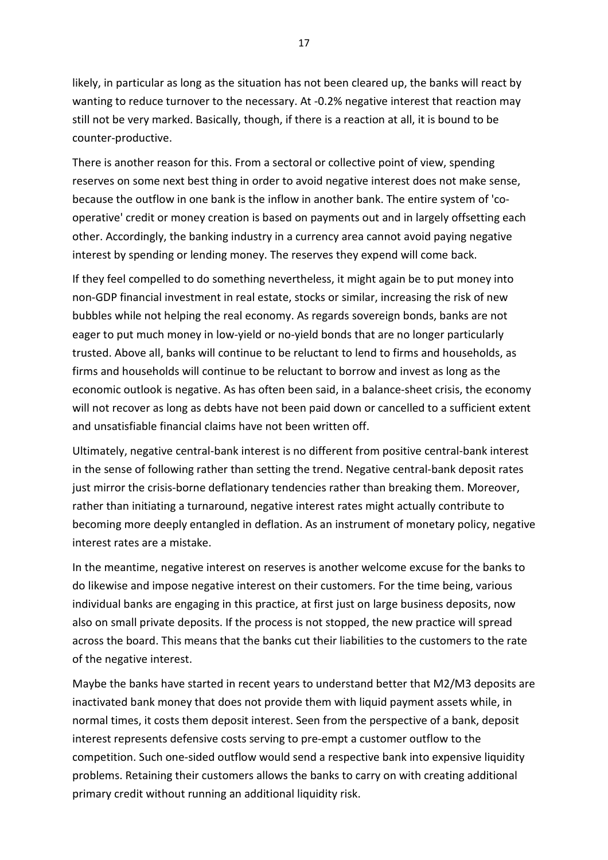likely, in particular as long as the situation has not been cleared up, the banks will react by wanting to reduce turnover to the necessary. At -0.2% negative interest that reaction may still not be very marked. Basically, though, if there is a reaction at all, it is bound to be

counter-productive.

There is another reason for this. From a sectoral or collective point of view, spending reserves on some next best thing in order to avoid negative interest does not make sense, because the outflow in one bank is the inflow in another bank. The entire system of 'cooperative' credit or money creation is based on payments out and in largely offsetting each other. Accordingly, the banking industry in a currency area cannot avoid paying negative interest by spending or lending money. The reserves they expend will come back.

If they feel compelled to do something nevertheless, it might again be to put money into non-GDP financial investment in real estate, stocks or similar, increasing the risk of new bubbles while not helping the real economy. As regards sovereign bonds, banks are not eager to put much money in low-yield or no-yield bonds that are no longer particularly trusted. Above all, banks will continue to be reluctant to lend to firms and households, as firms and households will continue to be reluctant to borrow and invest as long as the economic outlook is negative. As has often been said, in a balance-sheet crisis, the economy will not recover as long as debts have not been paid down or cancelled to a sufficient extent and unsatisfiable financial claims have not been written off.

Ultimately, negative central-bank interest is no different from positive central-bank interest in the sense of following rather than setting the trend. Negative central-bank deposit rates just mirror the crisis-borne deflationary tendencies rather than breaking them. Moreover, rather than initiating a turnaround, negative interest rates might actually contribute to becoming more deeply entangled in deflation. As an instrument of monetary policy, negative interest rates are a mistake.

In the meantime, negative interest on reserves is another welcome excuse for the banks to do likewise and impose negative interest on their customers. For the time being, various individual banks are engaging in this practice, at first just on large business deposits, now also on small private deposits. If the process is not stopped, the new practice will spread across the board. This means that the banks cut their liabilities to the customers to the rate of the negative interest.

Maybe the banks have started in recent years to understand better that M2/M3 deposits are inactivated bank money that does not provide them with liquid payment assets while, in normal times, it costs them deposit interest. Seen from the perspective of a bank, deposit interest represents defensive costs serving to pre-empt a customer outflow to the competition. Such one-sided outflow would send a respective bank into expensive liquidity problems. Retaining their customers allows the banks to carry on with creating additional primary credit without running an additional liquidity risk.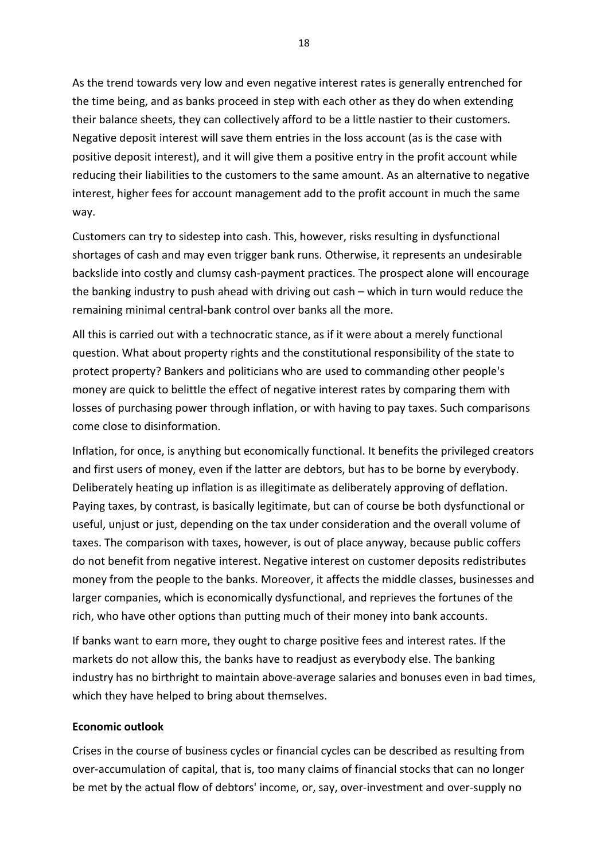As the trend towards very low and even negative interest rates is generally entrenched for the time being, and as banks proceed in step with each other as they do when extending their balance sheets, they can collectively afford to be a little nastier to their customers. Negative deposit interest will save them entries in the loss account (as is the case with positive deposit interest), and it will give them a positive entry in the profit account while reducing their liabilities to the customers to the same amount. As an alternative to negative interest, higher fees for account management add to the profit account in much the same way.

Customers can try to sidestep into cash. This, however, risks resulting in dysfunctional shortages of cash and may even trigger bank runs. Otherwise, it represents an undesirable backslide into costly and clumsy cash-payment practices. The prospect alone will encourage the banking industry to push ahead with driving out cash – which in turn would reduce the remaining minimal central-bank control over banks all the more.

All this is carried out with a technocratic stance, as if it were about a merely functional question. What about property rights and the constitutional responsibility of the state to protect property? Bankers and politicians who are used to commanding other people's money are quick to belittle the effect of negative interest rates by comparing them with losses of purchasing power through inflation, or with having to pay taxes. Such comparisons come close to disinformation.

Inflation, for once, is anything but economically functional. It benefits the privileged creators and first users of money, even if the latter are debtors, but has to be borne by everybody. Deliberately heating up inflation is as illegitimate as deliberately approving of deflation. Paying taxes, by contrast, is basically legitimate, but can of course be both dysfunctional or useful, unjust or just, depending on the tax under consideration and the overall volume of taxes. The comparison with taxes, however, is out of place anyway, because public coffers do not benefit from negative interest. Negative interest on customer deposits redistributes money from the people to the banks. Moreover, it affects the middle classes, businesses and larger companies, which is economically dysfunctional, and reprieves the fortunes of the rich, who have other options than putting much of their money into bank accounts.

If banks want to earn more, they ought to charge positive fees and interest rates. If the markets do not allow this, the banks have to readjust as everybody else. The banking industry has no birthright to maintain above-average salaries and bonuses even in bad times, which they have helped to bring about themselves.

# **Economic outlook**

Crises in the course of business cycles or financial cycles can be described as resulting from over-accumulation of capital, that is, too many claims of financial stocks that can no longer be met by the actual flow of debtors' income, or, say, over-investment and over-supply no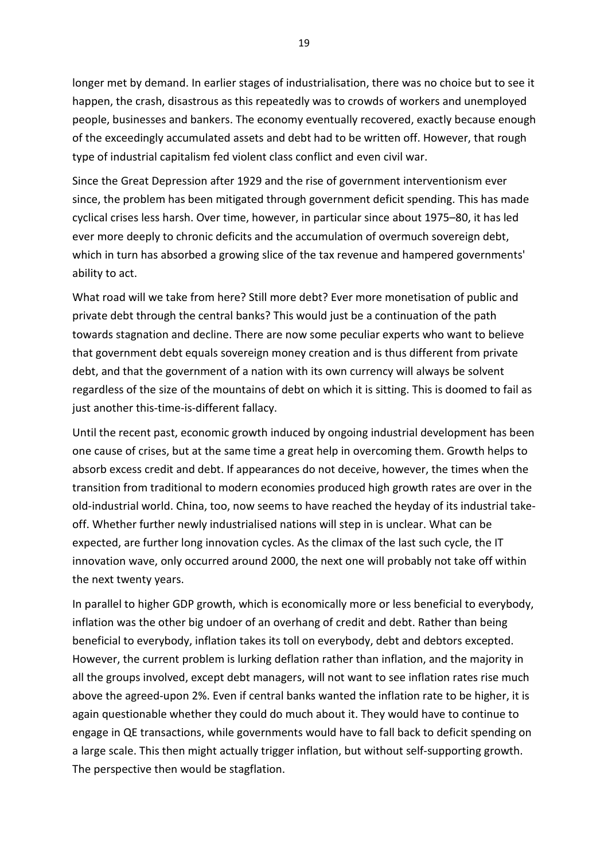longer met by demand. In earlier stages of industrialisation, there was no choice but to see it happen, the crash, disastrous as this repeatedly was to crowds of workers and unemployed people, businesses and bankers. The economy eventually recovered, exactly because enough of the exceedingly accumulated assets and debt had to be written off. However, that rough type of industrial capitalism fed violent class conflict and even civil war.

Since the Great Depression after 1929 and the rise of government interventionism ever since, the problem has been mitigated through government deficit spending. This has made cyclical crises less harsh. Over time, however, in particular since about 1975–80, it has led ever more deeply to chronic deficits and the accumulation of overmuch sovereign debt, which in turn has absorbed a growing slice of the tax revenue and hampered governments' ability to act.

What road will we take from here? Still more debt? Ever more monetisation of public and private debt through the central banks? This would just be a continuation of the path towards stagnation and decline. There are now some peculiar experts who want to believe that government debt equals sovereign money creation and is thus different from private debt, and that the government of a nation with its own currency will always be solvent regardless of the size of the mountains of debt on which it is sitting. This is doomed to fail as just another this-time-is-different fallacy.

Until the recent past, economic growth induced by ongoing industrial development has been one cause of crises, but at the same time a great help in overcoming them. Growth helps to absorb excess credit and debt. If appearances do not deceive, however, the times when the transition from traditional to modern economies produced high growth rates are over in the old-industrial world. China, too, now seems to have reached the heyday of its industrial takeoff. Whether further newly industrialised nations will step in is unclear. What can be expected, are further long innovation cycles. As the climax of the last such cycle, the IT innovation wave, only occurred around 2000, the next one will probably not take off within the next twenty years.

In parallel to higher GDP growth, which is economically more or less beneficial to everybody, inflation was the other big undoer of an overhang of credit and debt. Rather than being beneficial to everybody, inflation takes its toll on everybody, debt and debtors excepted. However, the current problem is lurking deflation rather than inflation, and the majority in all the groups involved, except debt managers, will not want to see inflation rates rise much above the agreed-upon 2%. Even if central banks wanted the inflation rate to be higher, it is again questionable whether they could do much about it. They would have to continue to engage in QE transactions, while governments would have to fall back to deficit spending on a large scale. This then might actually trigger inflation, but without self-supporting growth. The perspective then would be stagflation.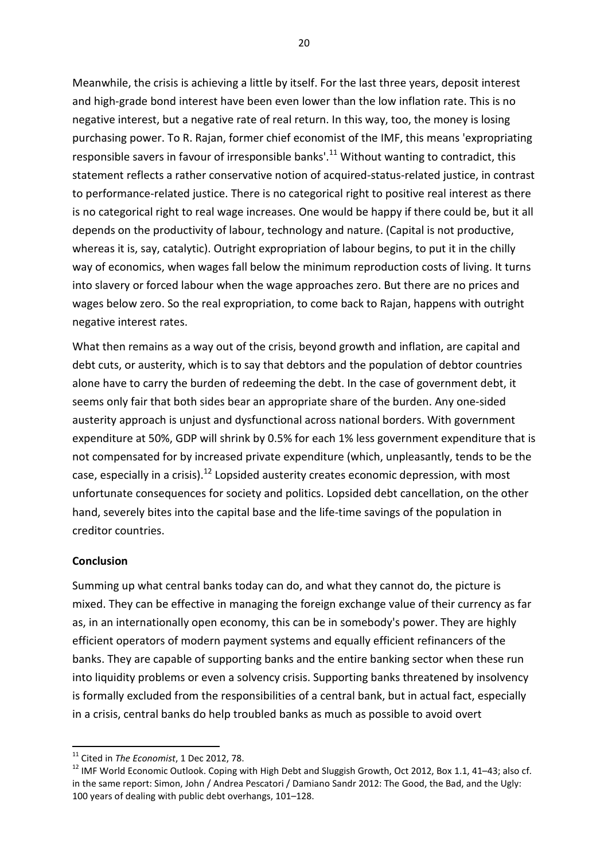Meanwhile, the crisis is achieving a little by itself. For the last three years, deposit interest and high-grade bond interest have been even lower than the low inflation rate. This is no negative interest, but a negative rate of real return. In this way, too, the money is losing purchasing power. To R. Rajan, former chief economist of the IMF, this means 'expropriating responsible savers in favour of irresponsible banks'.<sup>11</sup> Without wanting to contradict, this statement reflects a rather conservative notion of acquired-status-related justice, in contrast to performance-related justice. There is no categorical right to positive real interest as there is no categorical right to real wage increases. One would be happy if there could be, but it all depends on the productivity of labour, technology and nature. (Capital is not productive, whereas it is, say, catalytic). Outright expropriation of labour begins, to put it in the chilly way of economics, when wages fall below the minimum reproduction costs of living. It turns into slavery or forced labour when the wage approaches zero. But there are no prices and wages below zero. So the real expropriation, to come back to Rajan, happens with outright negative interest rates.

What then remains as a way out of the crisis, beyond growth and inflation, are capital and debt cuts, or austerity, which is to say that debtors and the population of debtor countries alone have to carry the burden of redeeming the debt. In the case of government debt, it seems only fair that both sides bear an appropriate share of the burden. Any one-sided austerity approach is unjust and dysfunctional across national borders. With government expenditure at 50%, GDP will shrink by 0.5% for each 1% less government expenditure that is not compensated for by increased private expenditure (which, unpleasantly, tends to be the case, especially in a crisis).<sup>12</sup> Lopsided austerity creates economic depression, with most unfortunate consequences for society and politics. Lopsided debt cancellation, on the other hand, severely bites into the capital base and the life-time savings of the population in creditor countries.

# **Conclusion**

Summing up what central banks today can do, and what they cannot do, the picture is mixed. They can be effective in managing the foreign exchange value of their currency as far as, in an internationally open economy, this can be in somebody's power. They are highly efficient operators of modern payment systems and equally efficient refinancers of the banks. They are capable of supporting banks and the entire banking sector when these run into liquidity problems or even a solvency crisis. Supporting banks threatened by insolvency is formally excluded from the responsibilities of a central bank, but in actual fact, especially in a crisis, central banks do help troubled banks as much as possible to avoid overt

<sup>11</sup> Cited in *The Economist*, 1 Dec 2012, 78.

<sup>&</sup>lt;sup>12</sup> IMF World Economic Outlook. Coping with High Debt and Sluggish Growth, Oct 2012, Box 1.1, 41–43; also cf. in the same report: Simon, John / Andrea Pescatori / Damiano Sandr 2012: The Good, the Bad, and the Ugly: 100 years of dealing with public debt overhangs, 101–128.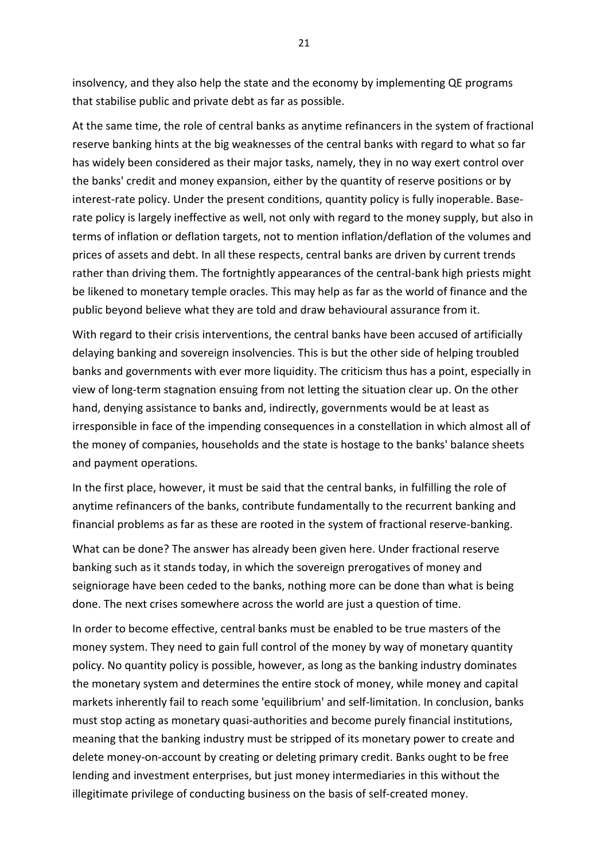insolvency, and they also help the state and the economy by implementing QE programs that stabilise public and private debt as far as possible.

At the same time, the role of central banks as anytime refinancers in the system of fractional reserve banking hints at the big weaknesses of the central banks with regard to what so far has widely been considered as their major tasks, namely, they in no way exert control over the banks' credit and money expansion, either by the quantity of reserve positions or by interest-rate policy. Under the present conditions, quantity policy is fully inoperable. Baserate policy is largely ineffective as well, not only with regard to the money supply, but also in terms of inflation or deflation targets, not to mention inflation/deflation of the volumes and prices of assets and debt. In all these respects, central banks are driven by current trends rather than driving them. The fortnightly appearances of the central-bank high priests might be likened to monetary temple oracles. This may help as far as the world of finance and the public beyond believe what they are told and draw behavioural assurance from it.

With regard to their crisis interventions, the central banks have been accused of artificially delaying banking and sovereign insolvencies. This is but the other side of helping troubled banks and governments with ever more liquidity. The criticism thus has a point, especially in view of long-term stagnation ensuing from not letting the situation clear up. On the other hand, denying assistance to banks and, indirectly, governments would be at least as irresponsible in face of the impending consequences in a constellation in which almost all of the money of companies, households and the state is hostage to the banks' balance sheets and payment operations.

In the first place, however, it must be said that the central banks, in fulfilling the role of anytime refinancers of the banks, contribute fundamentally to the recurrent banking and financial problems as far as these are rooted in the system of fractional reserve-banking.

What can be done? The answer has already been given here. Under fractional reserve banking such as it stands today, in which the sovereign prerogatives of money and seigniorage have been ceded to the banks, nothing more can be done than what is being done. The next crises somewhere across the world are just a question of time.

In order to become effective, central banks must be enabled to be true masters of the money system. They need to gain full control of the money by way of monetary quantity policy. No quantity policy is possible, however, as long as the banking industry dominates the monetary system and determines the entire stock of money, while money and capital markets inherently fail to reach some 'equilibrium' and self-limitation. In conclusion, banks must stop acting as monetary quasi-authorities and become purely financial institutions, meaning that the banking industry must be stripped of its monetary power to create and delete money-on-account by creating or deleting primary credit. Banks ought to be free lending and investment enterprises, but just money intermediaries in this without the illegitimate privilege of conducting business on the basis of self-created money.